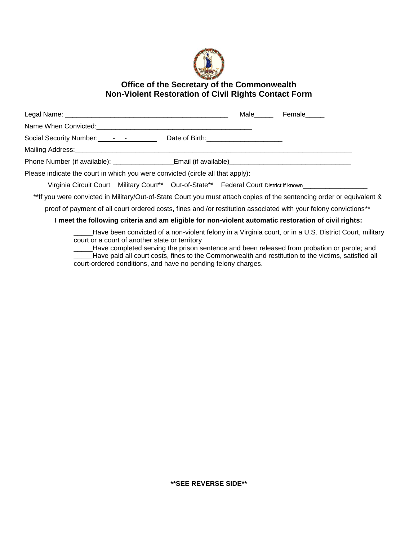

## **Office of the Secretary of the Commonwealth Non-Violent Restoration of Civil Rights Contact Form**

|                                                                                                                       |                                                                                        |  | Male Female |
|-----------------------------------------------------------------------------------------------------------------------|----------------------------------------------------------------------------------------|--|-------------|
| Name When Convicted: Manual Constantine Convicted:                                                                    |                                                                                        |  |             |
|                                                                                                                       |                                                                                        |  |             |
|                                                                                                                       |                                                                                        |  |             |
|                                                                                                                       |                                                                                        |  |             |
| Please indicate the court in which you were convicted (circle all that apply):                                        |                                                                                        |  |             |
|                                                                                                                       | Virginia Circuit Court Military Court** Out-of-State** Federal Court District if known |  |             |
| **If you were convicted in Military/Out-of-State Court you must attach copies of the sentencing order or equivalent & |                                                                                        |  |             |
| proof of payment of all court ordered costs, fines and /or restitution associated with your felony convictions**      |                                                                                        |  |             |
| I meet the following criteria and am eligible for non-violent automatic restoration of civil rights:                  |                                                                                        |  |             |
| Have been convicted of a non-violent felony in a Virginia court, or in a U.S. District Court, military                |                                                                                        |  |             |

court or a court of another state or territory

\_\_\_\_\_Have completed serving the prison sentence and been released from probation or parole; and \_\_\_\_\_Have paid all court costs, fines to the Commonwealth and restitution to the victims, satisfied all court-ordered conditions, and have no pending felony charges.